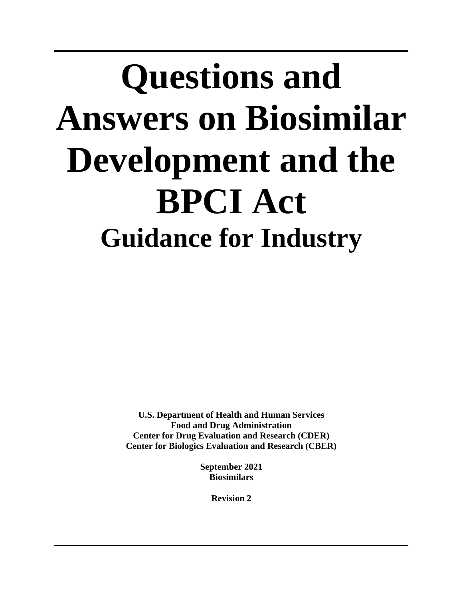# **Questions and Answers on Biosimilar Development and the BPCI Act Guidance for Industry**

**U.S. Department of Health and Human Services Food and Drug Administration Center for Drug Evaluation and Research (CDER) Center for Biologics Evaluation and Research (CBER)**

> **September 2021 Biosimilars**

> > **Revision 2**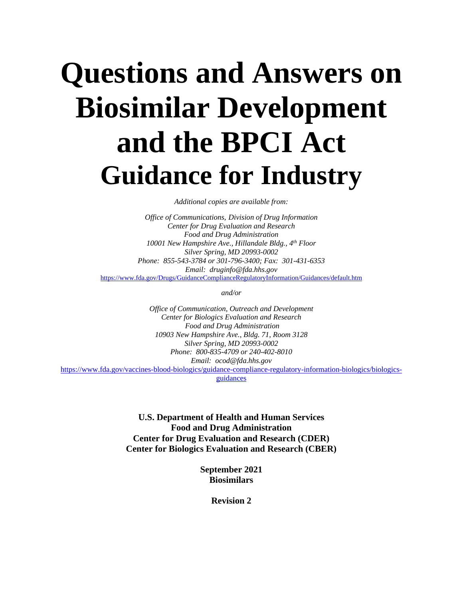# **Questions and Answers on Biosimilar Development and the BPCI Act Guidance for Industry**

*Additional copies are available from:*

*Office of Communications, Division of Drug Information Center for Drug Evaluation and Research Food and Drug Administration 10001 New Hampshire Ave., Hillandale Bldg., 4th Floor Silver Spring, MD 20993-0002 Phone: 855-543-3784 or 301-796-3400; Fax: 301-431-6353 Email: druginfo@fda.hhs.gov*  <https://www.fda.gov/Drugs/GuidanceComplianceRegulatoryInformation/Guidances/default.htm>

*and/or*

*Office of Communication, Outreach and Development Center for Biologics Evaluation and Research Food and Drug Administration 10903 New Hampshire Ave., Bldg. 71, Room 3128 Silver Spring, MD 20993-0002 Phone: 800-835-4709 or 240-402-8010 Email: ocod@fda.hhs.gov* [https://www.fda.gov/vaccines-blood-biologics/guidance-compliance-regulatory-information-biologics/biologics](https://www.fda.gov/vaccines-blood-biologics/guidance-compliance-regulatory-information-biologics/biologics-guidances)[guidances](https://www.fda.gov/vaccines-blood-biologics/guidance-compliance-regulatory-information-biologics/biologics-guidances)

> **U.S. Department of Health and Human Services Food and Drug Administration Center for Drug Evaluation and Research (CDER) Center for Biologics Evaluation and Research (CBER)**

> > **September 2021 Biosimilars**

> > > **Revision 2**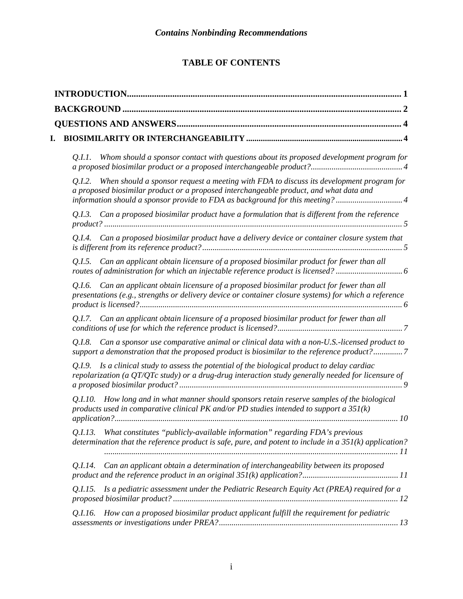# **TABLE OF CONTENTS**

|  | Whom should a sponsor contact with questions about its proposed development program for<br><i>O.I.1.</i>                                                                                                                                                                           |  |
|--|------------------------------------------------------------------------------------------------------------------------------------------------------------------------------------------------------------------------------------------------------------------------------------|--|
|  | When should a sponsor request a meeting with FDA to discuss its development program for<br><i>O.I.2.</i><br>a proposed biosimilar product or a proposed interchangeable product, and what data and<br>information should a sponsor provide to FDA as background for this meeting?4 |  |
|  | Q.I.3. Can a proposed biosimilar product have a formulation that is different from the reference                                                                                                                                                                                   |  |
|  | Q.I.4. Can a proposed biosimilar product have a delivery device or container closure system that                                                                                                                                                                                   |  |
|  | Can an applicant obtain licensure of a proposed biosimilar product for fewer than all<br><i>O.I.5.</i>                                                                                                                                                                             |  |
|  | Q.I.6. Can an applicant obtain licensure of a proposed biosimilar product for fewer than all<br>presentations (e.g., strengths or delivery device or container closure systems) for which a reference                                                                              |  |
|  | Q.I.7. Can an applicant obtain licensure of a proposed biosimilar product for fewer than all                                                                                                                                                                                       |  |
|  | Can a sponsor use comparative animal or clinical data with a non-U.S.-licensed product to<br><i>O.I.8.</i><br>support a demonstration that the proposed product is biosimilar to the reference product?7                                                                           |  |
|  | Is a clinical study to assess the potential of the biological product to delay cardiac<br><i>O.I.9.</i><br>repolarization (a QT/QTc study) or a drug-drug interaction study generally needed for licensure of                                                                      |  |
|  | Q.I.10. How long and in what manner should sponsors retain reserve samples of the biological<br>products used in comparative clinical PK and/or PD studies intended to support a $351(k)$                                                                                          |  |
|  | Q.I.13. What constitutes "publicly-available information" regarding FDA's previous<br>determination that the reference product is safe, pure, and potent to include in a $351(k)$ application?                                                                                     |  |
|  | Can an applicant obtain a determination of interchangeability between its proposed<br>Q.I.14.                                                                                                                                                                                      |  |
|  | Is a pediatric assessment under the Pediatric Research Equity Act (PREA) required for a<br>Q.I.15.                                                                                                                                                                                 |  |
|  | How can a proposed biosimilar product applicant fulfill the requirement for pediatric<br>Q.I.16.                                                                                                                                                                                   |  |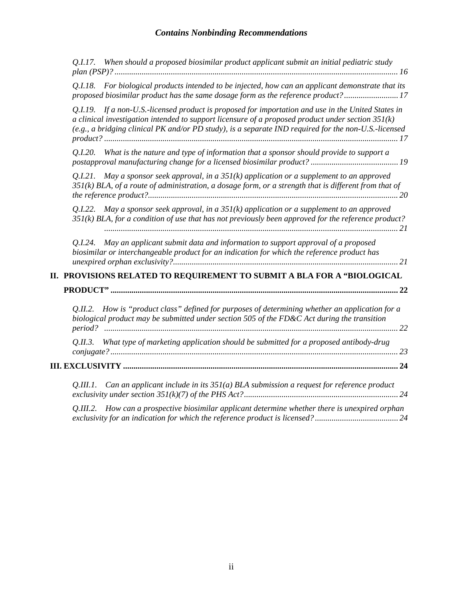| Q.I.17. When should a proposed biosimilar product applicant submit an initial pediatric study                                                                                                                                                                                                                     |
|-------------------------------------------------------------------------------------------------------------------------------------------------------------------------------------------------------------------------------------------------------------------------------------------------------------------|
| Q.I.18. For biological products intended to be injected, how can an applicant demonstrate that its<br>proposed biosimilar product has the same dosage form as the reference product?17                                                                                                                            |
| Q.I.19. If a non-U.S.-licensed product is proposed for importation and use in the United States in<br>a clinical investigation intended to support licensure of a proposed product under section $351(k)$<br>(e.g., a bridging clinical PK and/or PD study), is a separate IND required for the non-U.S.-licensed |
| $Q.I.20.$ What is the nature and type of information that a sponsor should provide to support a                                                                                                                                                                                                                   |
| Q.I.21. May a sponsor seek approval, in a $35I(k)$ application or a supplement to an approved<br>$35I(k)$ BLA, of a route of administration, a dosage form, or a strength that is different from that of                                                                                                          |
| Q.I.22. May a sponsor seek approval, in a $35I(k)$ application or a supplement to an approved<br>$35I(k)$ BLA, for a condition of use that has not previously been approved for the reference product?                                                                                                            |
| Q.I.24. May an applicant submit data and information to support approval of a proposed<br>biosimilar or interchangeable product for an indication for which the reference product has                                                                                                                             |
| II. PROVISIONS RELATED TO REQUIREMENT TO SUBMIT A BLA FOR A "BIOLOGICAL                                                                                                                                                                                                                                           |
|                                                                                                                                                                                                                                                                                                                   |
| Q.II.2. How is "product class" defined for purposes of determining whether an application for a<br>biological product may be submitted under section 505 of the FD&C Act during the transition                                                                                                                    |
| Q.II.3. What type of marketing application should be submitted for a proposed antibody-drug                                                                                                                                                                                                                       |
|                                                                                                                                                                                                                                                                                                                   |
| Q.III.1. Can an applicant include in its $35I(a)$ BLA submission a request for reference product                                                                                                                                                                                                                  |
| Q.III.2. How can a prospective biosimilar applicant determine whether there is unexpired orphan                                                                                                                                                                                                                   |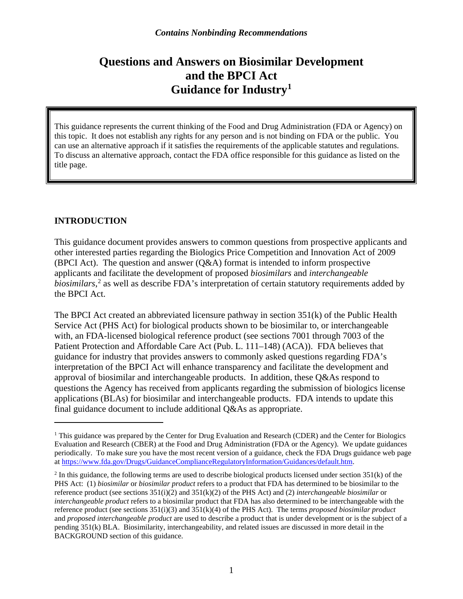# **Questions and Answers on Biosimilar Development and the BPCI Act Guidance for Industry[1](#page-4-1)**

This guidance represents the current thinking of the Food and Drug Administration (FDA or Agency) on this topic. It does not establish any rights for any person and is not binding on FDA or the public. You can use an alternative approach if it satisfies the requirements of the applicable statutes and regulations. To discuss an alternative approach, contact the FDA office responsible for this guidance as listed on the title page.

# <span id="page-4-0"></span>**INTRODUCTION**

This guidance document provides answers to common questions from prospective applicants and other interested parties regarding the Biologics Price Competition and Innovation Act of 2009 (BPCI Act). The question and answer  $(O&A)$  format is intended to inform prospective applicants and facilitate the development of proposed *biosimilars* and *interchangeable biosimilars*, [2](#page-4-2) as well as describe FDA's interpretation of certain statutory requirements added by the BPCI Act.

The BPCI Act created an abbreviated licensure pathway in section 351(k) of the Public Health Service Act (PHS Act) for biological products shown to be biosimilar to, or interchangeable with, an FDA-licensed biological reference product (see sections 7001 through 7003 of the Patient Protection and Affordable Care Act (Pub. L. 111–148) (ACA)). FDA believes that guidance for industry that provides answers to commonly asked questions regarding FDA's interpretation of the BPCI Act will enhance transparency and facilitate the development and approval of biosimilar and interchangeable products. In addition, these Q&As respond to questions the Agency has received from applicants regarding the submission of biologics license applications (BLAs) for biosimilar and interchangeable products. FDA intends to update this final guidance document to include additional Q&As as appropriate.

<span id="page-4-1"></span><sup>&</sup>lt;sup>1</sup> This guidance was prepared by the Center for Drug Evaluation and Research (CDER) and the Center for Biologics Evaluation and Research (CBER) at the Food and Drug Administration (FDA or the Agency). We update guidances periodically. To make sure you have the most recent version of a guidance, check the FDA Drugs guidance web page a[t https://www.fda.gov/Drugs/GuidanceComplianceRegulatoryInformation/Guidances/default.htm.](https://www.fda.gov/Drugs/GuidanceComplianceRegulatoryInformation/Guidances/default.htm)

<span id="page-4-2"></span> $2 \text{ In this guidance, the following terms are used to describe biological products licensed under section 351(k) of the$ PHS Act: (1) *biosimilar* or *biosimilar product* refers to a product that FDA has determined to be biosimilar to the reference product (see sections 351(i)(2) and 351(k)(2) of the PHS Act) and (2) *interchangeable biosimilar* or *interchangeable product* refers to a biosimilar product that FDA has also determined to be interchangeable with the reference product (see sections 351(i)(3) and 351(k)(4) of the PHS Act). The terms *proposed biosimilar product* and *proposed interchangeable product* are used to describe a product that is under development or is the subject of a pending 351(k) BLA. Biosimilarity, interchangeability, and related issues are discussed in more detail in the [BACKGROUND](#page-5-0) section of this guidance.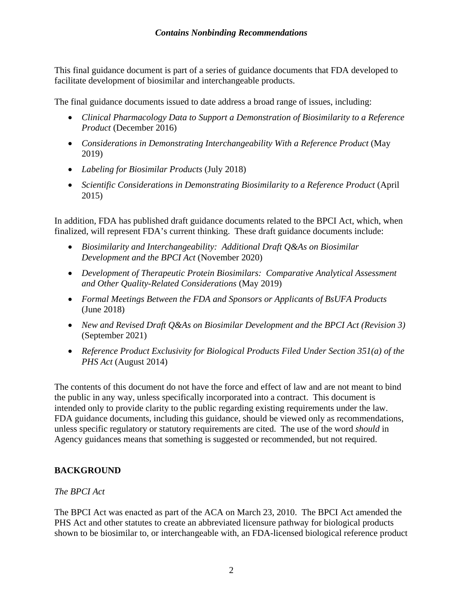This final guidance document is part of a series of guidance documents that FDA developed to facilitate development of biosimilar and interchangeable products.

The final guidance documents issued to date address a broad range of issues, including:

- *Clinical Pharmacology Data to Support a Demonstration of Biosimilarity to a Reference Product* (December 2016)
- *Considerations in Demonstrating Interchangeability With a Reference Product* (May 2019)
- *Labeling for Biosimilar Products* (July 2018)
- *Scientific Considerations in Demonstrating Biosimilarity to a Reference Product* (April 2015)

In addition, FDA has published draft guidance documents related to the BPCI Act, which, when finalized, will represent FDA's current thinking. These draft guidance documents include:

- *Biosimilarity and Interchangeability: Additional Draft Q&As on Biosimilar Development and the BPCI Act* (November 2020)
- *Development of Therapeutic Protein Biosimilars: Comparative Analytical Assessment and Other Quality-Related Considerations* (May 2019)
- *Formal Meetings Between the FDA and Sponsors or Applicants of BsUFA Products* (June 2018)
- *New and Revised Draft Q&As on Biosimilar Development and the BPCI Act (Revision 3)* (September 2021)
- *Reference Product Exclusivity for Biological Products Filed Under Section 351(a) of the PHS Act* (August 2014)

The contents of this document do not have the force and effect of law and are not meant to bind the public in any way, unless specifically incorporated into a contract. This document is intended only to provide clarity to the public regarding existing requirements under the law. FDA guidance documents, including this guidance, should be viewed only as recommendations, unless specific regulatory or statutory requirements are cited. The use of the word *should* in Agency guidances means that something is suggested or recommended, but not required.

# <span id="page-5-0"></span>**BACKGROUND**

# *The BPCI Act*

The BPCI Act was enacted as part of the ACA on March 23, 2010. The BPCI Act amended the PHS Act and other statutes to create an abbreviated licensure pathway for biological products shown to be biosimilar to, or interchangeable with, an FDA-licensed biological reference product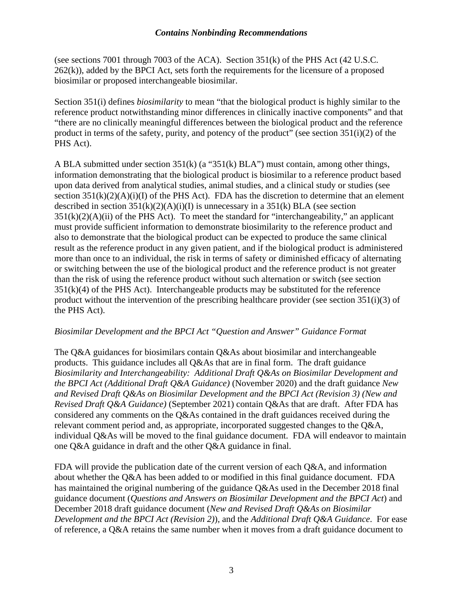(see sections 7001 through 7003 of the ACA). Section 351(k) of the PHS Act (42 U.S.C.  $262(k)$ , added by the BPCI Act, sets forth the requirements for the licensure of a proposed biosimilar or proposed interchangeable biosimilar.

Section 351(i) defines *biosimilarity* to mean "that the biological product is highly similar to the reference product notwithstanding minor differences in clinically inactive components" and that "there are no clinically meaningful differences between the biological product and the reference product in terms of the safety, purity, and potency of the product" (see section 351(i)(2) of the PHS Act).

A BLA submitted under section 351(k) (a "351(k) BLA") must contain, among other things, information demonstrating that the biological product is biosimilar to a reference product based upon data derived from analytical studies, animal studies, and a clinical study or studies (see section  $351(k)(2)(A)(i)(I)$  of the PHS Act). FDA has the discretion to determine that an element described in section  $351(k)(2)(A)(i)(I)$  is unnecessary in a  $351(k)$  BLA (see section  $351(k)(2)(A)(ii)$  of the PHS Act). To meet the standard for "interchangeability," an applicant must provide sufficient information to demonstrate biosimilarity to the reference product and also to demonstrate that the biological product can be expected to produce the same clinical result as the reference product in any given patient, and if the biological product is administered more than once to an individual, the risk in terms of safety or diminished efficacy of alternating or switching between the use of the biological product and the reference product is not greater than the risk of using the reference product without such alternation or switch (see section  $351(k)(4)$  of the PHS Act). Interchangeable products may be substituted for the reference product without the intervention of the prescribing healthcare provider (see section 351(i)(3) of the PHS Act).

# *Biosimilar Development and the BPCI Act "Question and Answer" Guidance Format*

The Q&A guidances for biosimilars contain Q&As about biosimilar and interchangeable products. This guidance includes all Q&As that are in final form. The draft guidance *Biosimilarity and Interchangeability: Additional Draft Q&As on Biosimilar Development and the BPCI Act (Additional Draft Q&A Guidance)* (November 2020) and the draft guidance *New and Revised Draft Q&As on Biosimilar Development and the BPCI Act (Revision 3) (New and Revised Draft Q&A Guidance)* (September 2021) contain Q&As that are draft. After FDA has considered any comments on the Q&As contained in the draft guidances received during the relevant comment period and, as appropriate, incorporated suggested changes to the Q&A, individual Q&As will be moved to the final guidance document. FDA will endeavor to maintain one Q&A guidance in draft and the other Q&A guidance in final.

FDA will provide the publication date of the current version of each Q&A, and information about whether the Q&A has been added to or modified in this final guidance document. FDA has maintained the original numbering of the guidance Q&As used in the December 2018 final guidance document (*Questions and Answers on Biosimilar Development and the BPCI Act*) and December 2018 draft guidance document (*New and Revised Draft Q&As on Biosimilar Development and the BPCI Act (Revision 2)*), and the *Additional Draft Q&A Guidance*. For ease of reference, a Q&A retains the same number when it moves from a draft guidance document to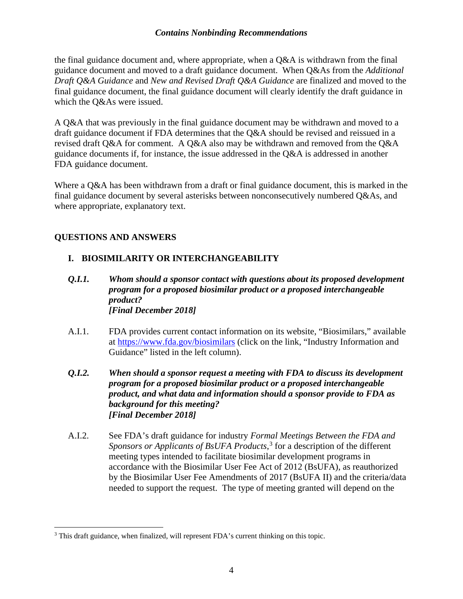the final guidance document and, where appropriate, when a Q&A is withdrawn from the final guidance document and moved to a draft guidance document. When Q&As from the *Additional Draft Q&A Guidance* and *New and Revised Draft Q&A Guidance* are finalized and moved to the final guidance document, the final guidance document will clearly identify the draft guidance in which the Q&As were issued.

A Q&A that was previously in the final guidance document may be withdrawn and moved to a draft guidance document if FDA determines that the Q&A should be revised and reissued in a revised draft Q&A for comment. A Q&A also may be withdrawn and removed from the Q&A guidance documents if, for instance, the issue addressed in the Q&A is addressed in another FDA guidance document.

Where a Q&A has been withdrawn from a draft or final guidance document, this is marked in the final guidance document by several asterisks between nonconsecutively numbered Q&As, and where appropriate, explanatory text.

# <span id="page-7-0"></span>**QUESTIONS AND ANSWERS**

# <span id="page-7-1"></span>**I. BIOSIMILARITY OR INTERCHANGEABILITY**

- <span id="page-7-2"></span>*Q.I.1. Whom should a sponsor contact with questions about its proposed development program for a proposed biosimilar product or a proposed interchangeable product? [Final December 2018]*
- A.I.1. FDA provides current contact information on its website, "Biosimilars," available at<https://www.fda.gov/biosimilars> (click on the link, "Industry Information and Guidance" listed in the left column).
- <span id="page-7-3"></span>*Q.I.2. When should a sponsor request a meeting with FDA to discuss its development program for a proposed biosimilar product or a proposed interchangeable product, and what data and information should a sponsor provide to FDA as background for this meeting? [Final December 2018]*
- A.I.2. See FDA's draft guidance for industry *Formal Meetings Between the FDA and Sponsors or Applicants of BsUFA Products*, [3](#page-7-4) for a description of the different meeting types intended to facilitate biosimilar development programs in accordance with the Biosimilar User Fee Act of 2012 (BsUFA), as reauthorized by the Biosimilar User Fee Amendments of 2017 (BsUFA II) and the criteria/data needed to support the request. The type of meeting granted will depend on the

<span id="page-7-4"></span><sup>&</sup>lt;sup>3</sup> This draft guidance, when finalized, will represent FDA's current thinking on this topic.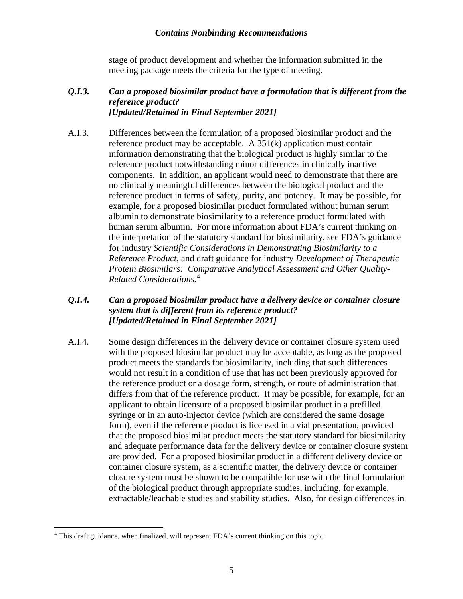stage of product development and whether the information submitted in the meeting package meets the criteria for the type of meeting.

# <span id="page-8-0"></span>*Q.I.3. Can a proposed biosimilar product have a formulation that is different from the reference product? [Updated/Retained in Final September 2021]*

A.I.3. Differences between the formulation of a proposed biosimilar product and the reference product may be acceptable. A 351(k) application must contain information demonstrating that the biological product is highly similar to the reference product notwithstanding minor differences in clinically inactive components. In addition, an applicant would need to demonstrate that there are no clinically meaningful differences between the biological product and the reference product in terms of safety, purity, and potency. It may be possible, for example, for a proposed biosimilar product formulated without human serum albumin to demonstrate biosimilarity to a reference product formulated with human serum albumin. For more information about FDA's current thinking on the interpretation of the statutory standard for biosimilarity, see FDA's guidance for industry *Scientific Considerations in Demonstrating Biosimilarity to a Reference Product*, and draft guidance for industry *Development of Therapeutic Protein Biosimilars: Comparative Analytical Assessment and Other Quality-Related Considerations.* [4](#page-8-2)

# <span id="page-8-1"></span>*Q.I.4. Can a proposed biosimilar product have a delivery device or container closure system that is different from its reference product? [Updated/Retained in Final September 2021]*

A.I.4. Some design differences in the delivery device or container closure system used with the proposed biosimilar product may be acceptable, as long as the proposed product meets the standards for biosimilarity, including that such differences would not result in a condition of use that has not been previously approved for the reference product or a dosage form, strength, or route of administration that differs from that of the reference product. It may be possible, for example, for an applicant to obtain licensure of a proposed biosimilar product in a prefilled syringe or in an auto-injector device (which are considered the same dosage form), even if the reference product is licensed in a vial presentation, provided that the proposed biosimilar product meets the statutory standard for biosimilarity and adequate performance data for the delivery device or container closure system are provided. For a proposed biosimilar product in a different delivery device or container closure system, as a scientific matter, the delivery device or container closure system must be shown to be compatible for use with the final formulation of the biological product through appropriate studies, including, for example, extractable/leachable studies and stability studies. Also, for design differences in

<span id="page-8-2"></span><sup>4</sup> This draft guidance, when finalized, will represent FDA's current thinking on this topic.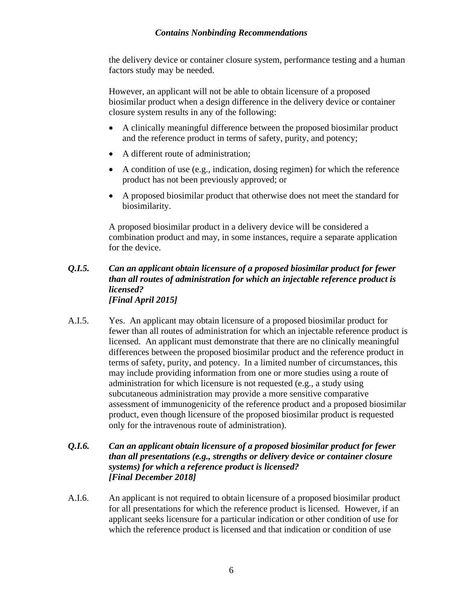the delivery device or container closure system, performance testing and a human factors study may be needed.

However, an applicant will not be able to obtain licensure of a proposed biosimilar product when a design difference in the delivery device or container closure system results in any of the following:

- A clinically meaningful difference between the proposed biosimilar product and the reference product in terms of safety, purity, and potency;
- A different route of administration;
- A condition of use (e.g., indication, dosing regimen) for which the reference product has not been previously approved; or
- A proposed biosimilar product that otherwise does not meet the standard for biosimilarity.

A proposed biosimilar product in a delivery device will be considered a combination product and may, in some instances, require a separate application for the device.

# <span id="page-9-0"></span>*Q.I.5. Can an applicant obtain licensure of a proposed biosimilar product for fewer than all routes of administration for which an injectable reference product is licensed? [Final April 2015]*

A.I.5. Yes. An applicant may obtain licensure of a proposed biosimilar product for fewer than all routes of administration for which an injectable reference product is licensed. An applicant must demonstrate that there are no clinically meaningful differences between the proposed biosimilar product and the reference product in terms of safety, purity, and potency. In a limited number of circumstances, this may include providing information from one or more studies using a route of administration for which licensure is not requested (e.g., a study using subcutaneous administration may provide a more sensitive comparative assessment of immunogenicity of the reference product and a proposed biosimilar product, even though licensure of the proposed biosimilar product is requested only for the intravenous route of administration).

# <span id="page-9-1"></span>*Q.I.6. Can an applicant obtain licensure of a proposed biosimilar product for fewer than all presentations (e.g., strengths or delivery device or container closure systems) for which a reference product is licensed? [Final December 2018]*

A.I.6. An applicant is not required to obtain licensure of a proposed biosimilar product for all presentations for which the reference product is licensed. However, if an applicant seeks licensure for a particular indication or other condition of use for which the reference product is licensed and that indication or condition of use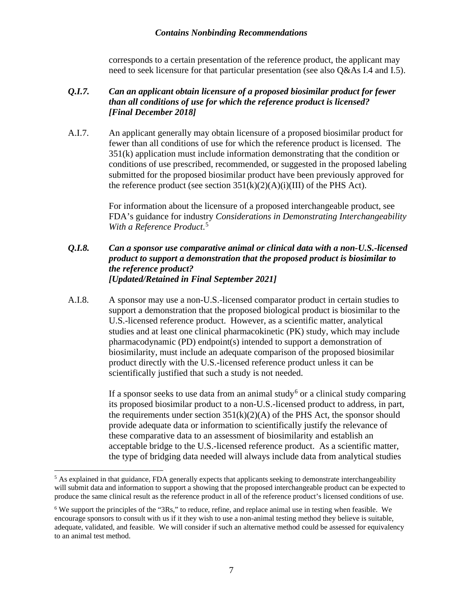corresponds to a certain presentation of the reference product, the applicant may need to seek licensure for that particular presentation (see also Q&As I.4 and I.5).

# <span id="page-10-0"></span>*Q.I.7. Can an applicant obtain licensure of a proposed biosimilar product for fewer than all conditions of use for which the reference product is licensed? [Final December 2018]*

A.I.7. An applicant generally may obtain licensure of a proposed biosimilar product for fewer than all conditions of use for which the reference product is licensed. The 351(k) application must include information demonstrating that the condition or conditions of use prescribed, recommended, or suggested in the proposed labeling submitted for the proposed biosimilar product have been previously approved for the reference product (see section  $351(k)(2)(A)(i)(III)$  of the PHS Act).

> For information about the licensure of a proposed interchangeable product, see FDA's guidance for industry *Considerations in Demonstrating Interchangeability With a Reference Product*. [5](#page-10-2)

# <span id="page-10-1"></span>*Q.I.8. Can a sponsor use comparative animal or clinical data with a non-U.S.-licensed product to support a demonstration that the proposed product is biosimilar to the reference product? [Updated/Retained in Final September 2021]*

A.I.8. A sponsor may use a non-U.S.-licensed comparator product in certain studies to support a demonstration that the proposed biological product is biosimilar to the U.S.-licensed reference product. However, as a scientific matter, analytical studies and at least one clinical pharmacokinetic (PK) study, which may include pharmacodynamic (PD) endpoint(s) intended to support a demonstration of biosimilarity, must include an adequate comparison of the proposed biosimilar product directly with the U.S.-licensed reference product unless it can be scientifically justified that such a study is not needed.

> If a sponsor seeks to use data from an animal study<sup>[6](#page-10-3)</sup> or a clinical study comparing its proposed biosimilar product to a non-U.S.-licensed product to address, in part, the requirements under section  $351(k)(2)(A)$  of the PHS Act, the sponsor should provide adequate data or information to scientifically justify the relevance of these comparative data to an assessment of biosimilarity and establish an acceptable bridge to the U.S.-licensed reference product. As a scientific matter, the type of bridging data needed will always include data from analytical studies

<span id="page-10-2"></span><sup>&</sup>lt;sup>5</sup> As explained in that guidance, FDA generally expects that applicants seeking to demonstrate interchangeability will submit data and information to support a showing that the proposed interchangeable product can be expected to produce the same clinical result as the reference product in all of the reference product's licensed conditions of use.

<span id="page-10-3"></span><sup>6</sup> We support the principles of the "3Rs," to reduce, refine, and replace animal use in testing when feasible. We encourage sponsors to consult with us if it they wish to use a non-animal testing method they believe is suitable, adequate, validated, and feasible. We will consider if such an alternative method could be assessed for equivalency to an animal test method.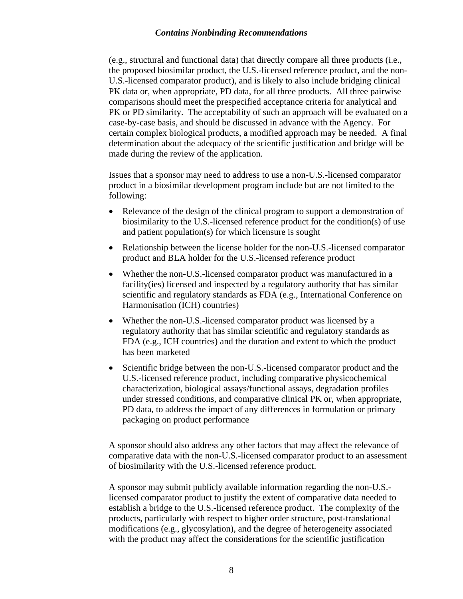(e.g., structural and functional data) that directly compare all three products (i.e., the proposed biosimilar product, the U.S.-licensed reference product, and the non-U.S.-licensed comparator product), and is likely to also include bridging clinical PK data or, when appropriate, PD data, for all three products. All three pairwise comparisons should meet the prespecified acceptance criteria for analytical and PK or PD similarity. The acceptability of such an approach will be evaluated on a case-by-case basis, and should be discussed in advance with the Agency. For certain complex biological products, a modified approach may be needed. A final determination about the adequacy of the scientific justification and bridge will be made during the review of the application.

Issues that a sponsor may need to address to use a non-U.S.-licensed comparator product in a biosimilar development program include but are not limited to the following:

- Relevance of the design of the clinical program to support a demonstration of biosimilarity to the U.S.-licensed reference product for the condition(s) of use and patient population(s) for which licensure is sought
- Relationship between the license holder for the non-U.S.-licensed comparator product and BLA holder for the U.S.-licensed reference product
- Whether the non-U.S.-licensed comparator product was manufactured in a facility(ies) licensed and inspected by a regulatory authority that has similar scientific and regulatory standards as FDA (e.g., International Conference on Harmonisation (ICH) countries)
- Whether the non-U.S.-licensed comparator product was licensed by a regulatory authority that has similar scientific and regulatory standards as FDA (e.g., ICH countries) and the duration and extent to which the product has been marketed
- Scientific bridge between the non-U.S.-licensed comparator product and the U.S.-licensed reference product, including comparative physicochemical characterization, biological assays/functional assays, degradation profiles under stressed conditions, and comparative clinical PK or, when appropriate, PD data, to address the impact of any differences in formulation or primary packaging on product performance

A sponsor should also address any other factors that may affect the relevance of comparative data with the non-U.S.-licensed comparator product to an assessment of biosimilarity with the U.S.-licensed reference product.

A sponsor may submit publicly available information regarding the non-U.S. licensed comparator product to justify the extent of comparative data needed to establish a bridge to the U.S.-licensed reference product. The complexity of the products, particularly with respect to higher order structure, post-translational modifications (e.g., glycosylation), and the degree of heterogeneity associated with the product may affect the considerations for the scientific justification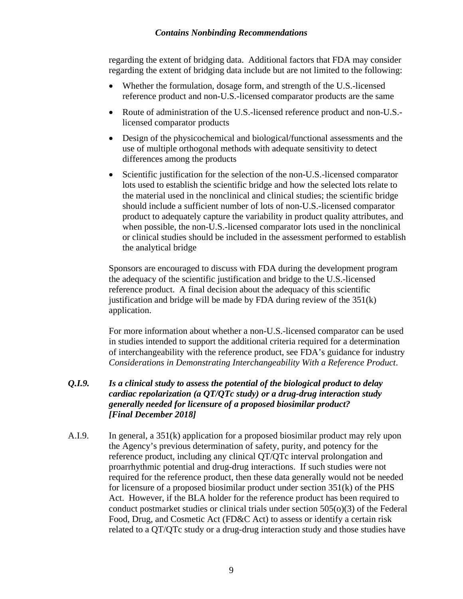regarding the extent of bridging data. Additional factors that FDA may consider regarding the extent of bridging data include but are not limited to the following:

- Whether the formulation, dosage form, and strength of the U.S.-licensed reference product and non-U.S.-licensed comparator products are the same
- Route of administration of the U.S.-licensed reference product and non-U.S. licensed comparator products
- Design of the physicochemical and biological/functional assessments and the use of multiple orthogonal methods with adequate sensitivity to detect differences among the products
- Scientific justification for the selection of the non-U.S.-licensed comparator lots used to establish the scientific bridge and how the selected lots relate to the material used in the nonclinical and clinical studies; the scientific bridge should include a sufficient number of lots of non-U.S.-licensed comparator product to adequately capture the variability in product quality attributes, and when possible, the non-U.S.-licensed comparator lots used in the nonclinical or clinical studies should be included in the assessment performed to establish the analytical bridge

Sponsors are encouraged to discuss with FDA during the development program the adequacy of the scientific justification and bridge to the U.S.-licensed reference product. A final decision about the adequacy of this scientific justification and bridge will be made by FDA during review of the  $351(k)$ application.

For more information about whether a non-U.S.-licensed comparator can be used in studies intended to support the additional criteria required for a determination of interchangeability with the reference product, see FDA's guidance for industry *Considerations in Demonstrating Interchangeability With a Reference Product*.

# <span id="page-12-0"></span>*Q.I.9. Is a clinical study to assess the potential of the biological product to delay cardiac repolarization (a QT/QTc study) or a drug-drug interaction study generally needed for licensure of a proposed biosimilar product? [Final December 2018]*

A.I.9. In general, a 351(k) application for a proposed biosimilar product may rely upon the Agency's previous determination of safety, purity, and potency for the reference product, including any clinical QT/QTc interval prolongation and proarrhythmic potential and drug-drug interactions. If such studies were not required for the reference product, then these data generally would not be needed for licensure of a proposed biosimilar product under section  $351(k)$  of the PHS Act. However, if the BLA holder for the reference product has been required to conduct postmarket studies or clinical trials under section  $505(0)(3)$  of the Federal Food, Drug, and Cosmetic Act (FD&C Act) to assess or identify a certain risk related to a QT/QTc study or a drug-drug interaction study and those studies have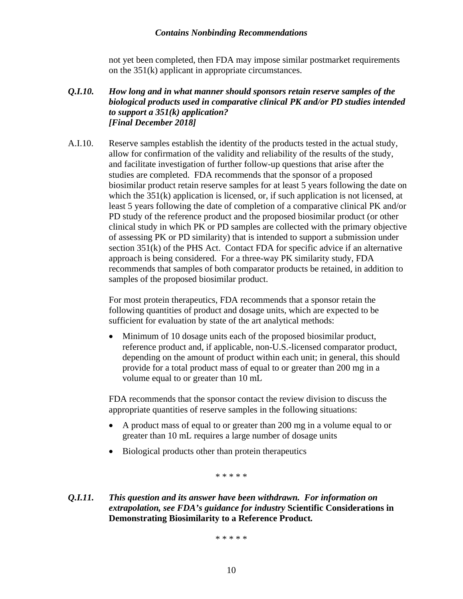not yet been completed, then FDA may impose similar postmarket requirements on the 351(k) applicant in appropriate circumstances.

- <span id="page-13-0"></span>*Q.I.10. How long and in what manner should sponsors retain reserve samples of the biological products used in comparative clinical PK and/or PD studies intended to support a 351(k) application? [Final December 2018]*
- A.I.10. Reserve samples establish the identity of the products tested in the actual study, allow for confirmation of the validity and reliability of the results of the study, and facilitate investigation of further follow-up questions that arise after the studies are completed. FDA recommends that the sponsor of a proposed biosimilar product retain reserve samples for at least 5 years following the date on which the 351(k) application is licensed, or, if such application is not licensed, at least 5 years following the date of completion of a comparative clinical PK and/or PD study of the reference product and the proposed biosimilar product (or other clinical study in which PK or PD samples are collected with the primary objective of assessing PK or PD similarity) that is intended to support a submission under section 351(k) of the PHS Act. Contact FDA for specific advice if an alternative approach is being considered. For a three-way PK similarity study, FDA recommends that samples of both comparator products be retained, in addition to samples of the proposed biosimilar product.

For most protein therapeutics, FDA recommends that a sponsor retain the following quantities of product and dosage units, which are expected to be sufficient for evaluation by state of the art analytical methods:

• Minimum of 10 dosage units each of the proposed biosimilar product, reference product and, if applicable, non-U.S.-licensed comparator product, depending on the amount of product within each unit; in general, this should provide for a total product mass of equal to or greater than 200 mg in a volume equal to or greater than 10 mL

FDA recommends that the sponsor contact the review division to discuss the appropriate quantities of reserve samples in the following situations:

- A product mass of equal to or greater than 200 mg in a volume equal to or greater than 10 mL requires a large number of dosage units
- Biological products other than protein therapeutics

\* \* \* \* \*

*Q.I.11. This question and its answer have been withdrawn. For information on extrapolation, see FDA's guidance for industry* **Scientific Considerations in Demonstrating Biosimilarity to a Reference Product***.*

\* \* \* \* \*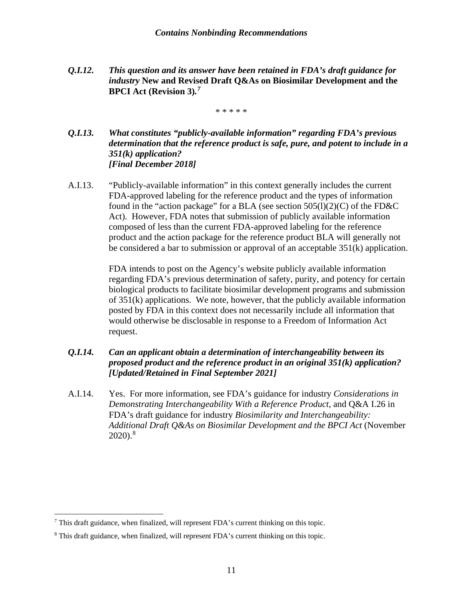*Q.I.12. This question and its answer have been retained in FDA's draft guidance for industry* **New and Revised Draft Q&As on Biosimilar Development and the BPCI Act (Revision 3)***. [7](#page-14-2)* 

\* \* \* \* \*

# <span id="page-14-0"></span>*Q.I.13. What constitutes "publicly-available information" regarding FDA's previous determination that the reference product is safe, pure, and potent to include in a 351(k) application? [Final December 2018]*

A.I.13. "Publicly-available information" in this context generally includes the current FDA-approved labeling for the reference product and the types of information found in the "action package" for a BLA (see section  $505(1)(2)(C)$  of the FD&C Act). However, FDA notes that submission of publicly available information composed of less than the current FDA-approved labeling for the reference product and the action package for the reference product BLA will generally not be considered a bar to submission or approval of an acceptable 351(k) application.

> FDA intends to post on the Agency's website publicly available information regarding FDA's previous determination of safety, purity, and potency for certain biological products to facilitate biosimilar development programs and submission of  $351(k)$  applications. We note, however, that the publicly available information posted by FDA in this context does not necessarily include all information that would otherwise be disclosable in response to a Freedom of Information Act request.

# <span id="page-14-1"></span>*Q.I.14. Can an applicant obtain a determination of interchangeability between its proposed product and the reference product in an original 351(k) application? [Updated/Retained in Final September 2021]*

A.I.14. Yes. For more information, see FDA's guidance for industry *Considerations in Demonstrating Interchangeability With a Reference Product*, and Q&A I.26 in FDA's draft guidance for industry *Biosimilarity and Interchangeability: Additional Draft Q&As on Biosimilar Development and the BPCI Act* (November 2020). [8](#page-14-3)

<span id="page-14-2"></span> $\frac{7}{7}$  This draft guidance, when finalized, will represent FDA's current thinking on this topic.

<span id="page-14-3"></span><sup>8</sup> This draft guidance, when finalized, will represent FDA's current thinking on this topic.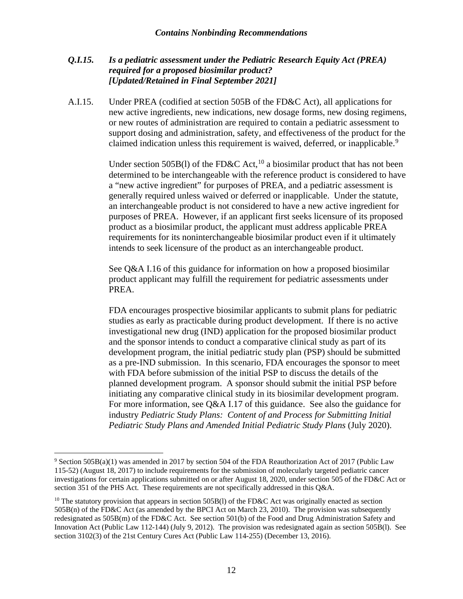# <span id="page-15-0"></span>*Q.I.15. Is a pediatric assessment under the Pediatric Research Equity Act (PREA) required for a proposed biosimilar product? [Updated/Retained in Final September 2021]*

A.I.15. Under PREA (codified at section 505B of the FD&C Act), all applications for new active ingredients, new indications, new dosage forms, new dosing regimens, or new routes of administration are required to contain a pediatric assessment to support dosing and administration, safety, and effectiveness of the product for the claimed indication unless this requirement is waived, deferred, or inapplicable.<sup>[9](#page-15-1)</sup>

> Under section 505B(l) of the FD&C Act,  $^{10}$  $^{10}$  $^{10}$  a biosimilar product that has not been determined to be interchangeable with the reference product is considered to have a "new active ingredient" for purposes of PREA, and a pediatric assessment is generally required unless waived or deferred or inapplicable. Under the statute, an interchangeable product is not considered to have a new active ingredient for purposes of PREA. However, if an applicant first seeks licensure of its proposed product as a biosimilar product, the applicant must address applicable PREA requirements for its noninterchangeable biosimilar product even if it ultimately intends to seek licensure of the product as an interchangeable product.

See Q&A I.16 of this guidance for information on how a proposed biosimilar product applicant may fulfill the requirement for pediatric assessments under PREA.

FDA encourages prospective biosimilar applicants to submit plans for pediatric studies as early as practicable during product development. If there is no active investigational new drug (IND) application for the proposed biosimilar product and the sponsor intends to conduct a comparative clinical study as part of its development program, the initial pediatric study plan (PSP) should be submitted as a pre-IND submission. In this scenario, FDA encourages the sponsor to meet with FDA before submission of the initial PSP to discuss the details of the planned development program. A sponsor should submit the initial PSP before initiating any comparative clinical study in its biosimilar development program. For more information, see Q&A I.17 of this guidance. See also the guidance for industry *Pediatric Study Plans: Content of and Process for Submitting Initial Pediatric Study Plans and Amended Initial Pediatric Study Plans* (July 2020).

<span id="page-15-1"></span><sup>9</sup> Section 505B(a)(1) was amended in 2017 by section 504 of the FDA Reauthorization Act of 2017 (Public Law 115-52) (August 18, 2017) to include requirements for the submission of molecularly targeted pediatric cancer investigations for certain applications submitted on or after August 18, 2020, under section 505 of the FD&C Act or section 351 of the PHS Act. These requirements are not specifically addressed in this O&A.

<span id="page-15-2"></span><sup>&</sup>lt;sup>10</sup> The statutory provision that appears in section 505B(l) of the FD&C Act was originally enacted as section 505B(n) of the FD&C Act (as amended by the BPCI Act on March 23, 2010). The provision was subsequently redesignated as 505B(m) of the FD&C Act. See section 501(b) of the Food and Drug Administration Safety and Innovation Act (Public Law 112-144) (July 9, 2012). The provision was redesignated again as section 505B(l). See section 3102(3) of the 21st Century Cures Act (Public Law 114-255) (December 13, 2016).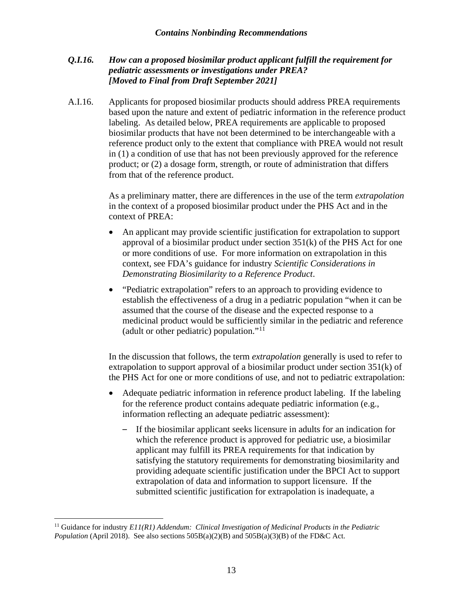# <span id="page-16-0"></span>*Q.I.16. How can a proposed biosimilar product applicant fulfill the requirement for pediatric assessments or investigations under PREA? [Moved to Final from Draft September 2021]*

A.I.16. Applicants for proposed biosimilar products should address PREA requirements based upon the nature and extent of pediatric information in the reference product labeling. As detailed below, PREA requirements are applicable to proposed biosimilar products that have not been determined to be interchangeable with a reference product only to the extent that compliance with PREA would not result in (1) a condition of use that has not been previously approved for the reference product; or (2) a dosage form, strength, or route of administration that differs from that of the reference product.

> As a preliminary matter, there are differences in the use of the term *extrapolation* in the context of a proposed biosimilar product under the PHS Act and in the context of PREA:

- An applicant may provide scientific justification for extrapolation to support approval of a biosimilar product under section 351(k) of the PHS Act for one or more conditions of use. For more information on extrapolation in this context, see FDA's guidance for industry *Scientific Considerations in Demonstrating Biosimilarity to a Reference Product*.
- "Pediatric extrapolation" refers to an approach to providing evidence to establish the effectiveness of a drug in a pediatric population "when it can be assumed that the course of the disease and the expected response to a medicinal product would be sufficiently similar in the pediatric and reference (adult or other pediatric) population."[11](#page-16-1)

In the discussion that follows, the term *extrapolation* generally is used to refer to extrapolation to support approval of a biosimilar product under section 351(k) of the PHS Act for one or more conditions of use, and not to pediatric extrapolation:

- Adequate pediatric information in reference product labeling. If the labeling for the reference product contains adequate pediatric information (e.g., information reflecting an adequate pediatric assessment):
	- If the biosimilar applicant seeks licensure in adults for an indication for which the reference product is approved for pediatric use, a biosimilar applicant may fulfill its PREA requirements for that indication by satisfying the statutory requirements for demonstrating biosimilarity and providing adequate scientific justification under the BPCI Act to support extrapolation of data and information to support licensure. If the submitted scientific justification for extrapolation is inadequate, a

<span id="page-16-1"></span><sup>11</sup> Guidance for industry *E11(R1) Addendum: Clinical Investigation of Medicinal Products in the Pediatric Population* (April 2018). See also sections 505B(a)(2)(B) and 505B(a)(3)(B) of the FD&C Act.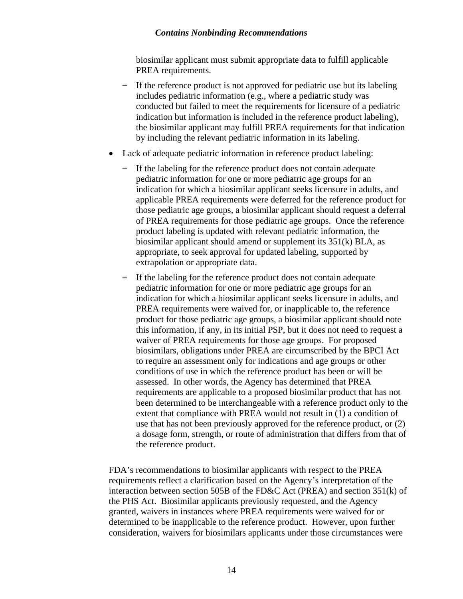biosimilar applicant must submit appropriate data to fulfill applicable PREA requirements.

- If the reference product is not approved for pediatric use but its labeling includes pediatric information (e.g., where a pediatric study was conducted but failed to meet the requirements for licensure of a pediatric indication but information is included in the reference product labeling), the biosimilar applicant may fulfill PREA requirements for that indication by including the relevant pediatric information in its labeling.
- Lack of adequate pediatric information in reference product labeling:
	- If the labeling for the reference product does not contain adequate pediatric information for one or more pediatric age groups for an indication for which a biosimilar applicant seeks licensure in adults, and applicable PREA requirements were deferred for the reference product for those pediatric age groups, a biosimilar applicant should request a deferral of PREA requirements for those pediatric age groups. Once the reference product labeling is updated with relevant pediatric information, the biosimilar applicant should amend or supplement its 351(k) BLA, as appropriate, to seek approval for updated labeling, supported by extrapolation or appropriate data.
	- If the labeling for the reference product does not contain adequate pediatric information for one or more pediatric age groups for an indication for which a biosimilar applicant seeks licensure in adults, and PREA requirements were waived for, or inapplicable to, the reference product for those pediatric age groups, a biosimilar applicant should note this information, if any, in its initial PSP, but it does not need to request a waiver of PREA requirements for those age groups. For proposed biosimilars, obligations under PREA are circumscribed by the BPCI Act to require an assessment only for indications and age groups or other conditions of use in which the reference product has been or will be assessed. In other words, the Agency has determined that PREA requirements are applicable to a proposed biosimilar product that has not been determined to be interchangeable with a reference product only to the extent that compliance with PREA would not result in (1) a condition of use that has not been previously approved for the reference product, or (2) a dosage form, strength, or route of administration that differs from that of the reference product.

FDA's recommendations to biosimilar applicants with respect to the PREA requirements reflect a clarification based on the Agency's interpretation of the interaction between section 505B of the FD&C Act (PREA) and section 351(k) of the PHS Act. Biosimilar applicants previously requested, and the Agency granted, waivers in instances where PREA requirements were waived for or determined to be inapplicable to the reference product. However, upon further consideration, waivers for biosimilars applicants under those circumstances were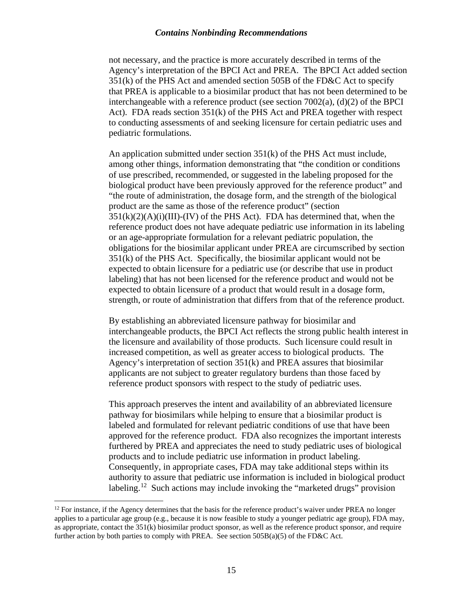not necessary, and the practice is more accurately described in terms of the Agency's interpretation of the BPCI Act and PREA. The BPCI Act added section 351(k) of the PHS Act and amended section 505B of the FD&C Act to specify that PREA is applicable to a biosimilar product that has not been determined to be interchangeable with a reference product (see section 7002(a), (d)(2) of the BPCI Act). FDA reads section 351(k) of the PHS Act and PREA together with respect to conducting assessments of and seeking licensure for certain pediatric uses and pediatric formulations.

An application submitted under section 351(k) of the PHS Act must include, among other things, information demonstrating that "the condition or conditions of use prescribed, recommended, or suggested in the labeling proposed for the biological product have been previously approved for the reference product" and "the route of administration, the dosage form, and the strength of the biological product are the same as those of the reference product" (section  $351(k)(2)(A)(i)(III)$ -(IV) of the PHS Act). FDA has determined that, when the reference product does not have adequate pediatric use information in its labeling or an age-appropriate formulation for a relevant pediatric population, the obligations for the biosimilar applicant under PREA are circumscribed by section  $351(k)$  of the PHS Act. Specifically, the biosimilar applicant would not be expected to obtain licensure for a pediatric use (or describe that use in product labeling) that has not been licensed for the reference product and would not be expected to obtain licensure of a product that would result in a dosage form, strength, or route of administration that differs from that of the reference product.

By establishing an abbreviated licensure pathway for biosimilar and interchangeable products, the BPCI Act reflects the strong public health interest in the licensure and availability of those products. Such licensure could result in increased competition, as well as greater access to biological products. The Agency's interpretation of section 351(k) and PREA assures that biosimilar applicants are not subject to greater regulatory burdens than those faced by reference product sponsors with respect to the study of pediatric uses.

This approach preserves the intent and availability of an abbreviated licensure pathway for biosimilars while helping to ensure that a biosimilar product is labeled and formulated for relevant pediatric conditions of use that have been approved for the reference product. FDA also recognizes the important interests furthered by PREA and appreciates the need to study pediatric uses of biological products and to include pediatric use information in product labeling. Consequently, in appropriate cases, FDA may take additional steps within its authority to assure that pediatric use information is included in biological product labeling.<sup>[12](#page-18-0)</sup> Such actions may include invoking the "marketed drugs" provision

<span id="page-18-0"></span> $12$  For instance, if the Agency determines that the basis for the reference product's waiver under PREA no longer applies to a particular age group (e.g., because it is now feasible to study a younger pediatric age group), FDA may, as appropriate, contact the 351(k) biosimilar product sponsor, as well as the reference product sponsor, and require further action by both parties to comply with PREA. See section 505B(a)(5) of the FD&C Act.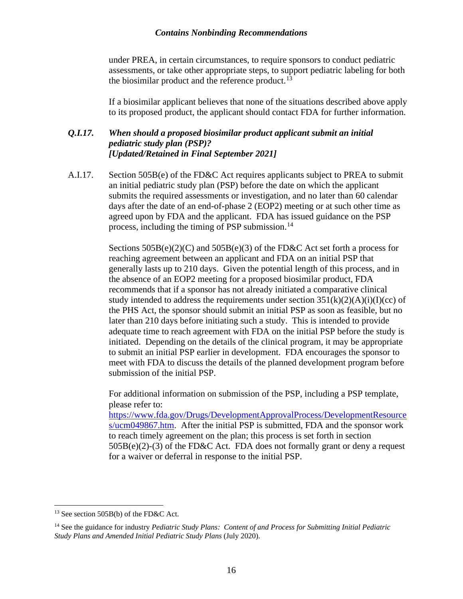under PREA, in certain circumstances, to require sponsors to conduct pediatric assessments, or take other appropriate steps, to support pediatric labeling for both the biosimilar product and the reference product.<sup>[13](#page-19-1)</sup>

If a biosimilar applicant believes that none of the situations described above apply to its proposed product, the applicant should contact FDA for further information.

# <span id="page-19-0"></span>*Q.I.17. When should a proposed biosimilar product applicant submit an initial pediatric study plan (PSP)? [Updated/Retained in Final September 2021]*

A.I.17. Section 505B(e) of the FD&C Act requires applicants subject to PREA to submit an initial pediatric study plan (PSP) before the date on which the applicant submits the required assessments or investigation, and no later than 60 calendar days after the date of an end-of-phase 2 (EOP2) meeting or at such other time as agreed upon by FDA and the applicant. FDA has issued guidance on the PSP process, including the timing of PSP submission.<sup>[14](#page-19-2)</sup>

> Sections  $505B(e)(2)(C)$  and  $505B(e)(3)$  of the FD&C Act set forth a process for reaching agreement between an applicant and FDA on an initial PSP that generally lasts up to 210 days. Given the potential length of this process, and in the absence of an EOP2 meeting for a proposed biosimilar product, FDA recommends that if a sponsor has not already initiated a comparative clinical study intended to address the requirements under section  $351(k)(2)(A)(i)(I)(cc)$  of the PHS Act, the sponsor should submit an initial PSP as soon as feasible, but no later than 210 days before initiating such a study. This is intended to provide adequate time to reach agreement with FDA on the initial PSP before the study is initiated. Depending on the details of the clinical program, it may be appropriate to submit an initial PSP earlier in development. FDA encourages the sponsor to meet with FDA to discuss the details of the planned development program before submission of the initial PSP.

For additional information on submission of the PSP, including a PSP template, please refer to:

[https://www.fda.gov/Drugs/DevelopmentApprovalProcess/DevelopmentResource](https://www.fda.gov/Drugs/DevelopmentApprovalProcess/DevelopmentResources/ucm049867.htm) [s/ucm049867.htm.](https://www.fda.gov/Drugs/DevelopmentApprovalProcess/DevelopmentResources/ucm049867.htm) After the initial PSP is submitted, FDA and the sponsor work to reach timely agreement on the plan; this process is set forth in section  $505B(e)(2)-(3)$  of the FD&C Act. FDA does not formally grant or deny a request for a waiver or deferral in response to the initial PSP.

<span id="page-19-1"></span><sup>&</sup>lt;sup>13</sup> See section 505B(b) of the FD&C Act.

<span id="page-19-2"></span><sup>14</sup> See the guidance for industry *Pediatric Study Plans: Content of and Process for Submitting Initial Pediatric Study Plans and Amended Initial Pediatric Study Plans* (July 2020).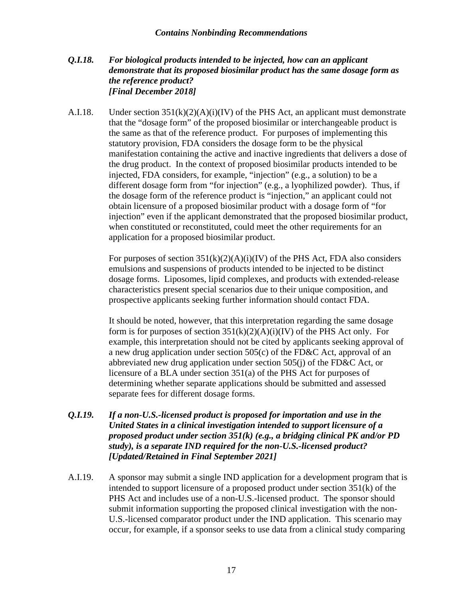# <span id="page-20-0"></span>*Q.I.18. For biological products intended to be injected, how can an applicant demonstrate that its proposed biosimilar product has the same dosage form as the reference product? [Final December 2018]*

A.I.18. Under section  $351(k)(2)(A)(i)(IV)$  of the PHS Act, an applicant must demonstrate that the "dosage form" of the proposed biosimilar or interchangeable product is the same as that of the reference product. For purposes of implementing this statutory provision, FDA considers the dosage form to be the physical manifestation containing the active and inactive ingredients that delivers a dose of the drug product. In the context of proposed biosimilar products intended to be injected, FDA considers, for example, "injection" (e.g., a solution) to be a different dosage form from "for injection" (e.g., a lyophilized powder). Thus, if the dosage form of the reference product is "injection," an applicant could not obtain licensure of a proposed biosimilar product with a dosage form of "for injection" even if the applicant demonstrated that the proposed biosimilar product, when constituted or reconstituted, could meet the other requirements for an application for a proposed biosimilar product.

> For purposes of section  $351(k)(2)(A)(i)(IV)$  of the PHS Act, FDA also considers emulsions and suspensions of products intended to be injected to be distinct dosage forms. Liposomes, lipid complexes, and products with extended-release characteristics present special scenarios due to their unique composition, and prospective applicants seeking further information should contact FDA.

> It should be noted, however, that this interpretation regarding the same dosage form is for purposes of section  $351(k)(2)(A)(i)(IV)$  of the PHS Act only. For example, this interpretation should not be cited by applicants seeking approval of a new drug application under section 505(c) of the FD&C Act, approval of an abbreviated new drug application under section 505(j) of the FD&C Act, or licensure of a BLA under section 351(a) of the PHS Act for purposes of determining whether separate applications should be submitted and assessed separate fees for different dosage forms.

- <span id="page-20-1"></span>*Q.I.19. If a non-U.S.-licensed product is proposed for importation and use in the United States in a clinical investigation intended to support licensure of a proposed product under section 351(k) (e.g., a bridging clinical PK and/or PD study), is a separate IND required for the non-U.S.-licensed product? [Updated/Retained in Final September 2021]*
- A.I.19. A sponsor may submit a single IND application for a development program that is intended to support licensure of a proposed product under section 351(k) of the PHS Act and includes use of a non-U.S.-licensed product. The sponsor should submit information supporting the proposed clinical investigation with the non-U.S.-licensed comparator product under the IND application. This scenario may occur, for example, if a sponsor seeks to use data from a clinical study comparing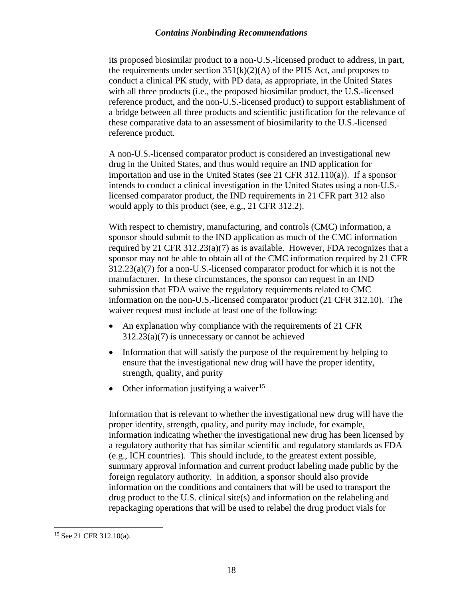its proposed biosimilar product to a non-U.S.-licensed product to address, in part, the requirements under section  $351(k)(2)(A)$  of the PHS Act, and proposes to conduct a clinical PK study, with PD data, as appropriate, in the United States with all three products (i.e., the proposed biosimilar product, the U.S.-licensed reference product, and the non-U.S.-licensed product) to support establishment of a bridge between all three products and scientific justification for the relevance of these comparative data to an assessment of biosimilarity to the U.S.-licensed reference product.

A non-U.S.-licensed comparator product is considered an investigational new drug in the United States, and thus would require an IND application for importation and use in the United States (see 21 CFR 312.110(a)). If a sponsor intends to conduct a clinical investigation in the United States using a non-U.S. licensed comparator product, the IND requirements in 21 CFR part 312 also would apply to this product (see, e.g., 21 CFR 312.2).

With respect to chemistry, manufacturing, and controls (CMC) information, a sponsor should submit to the IND application as much of the CMC information required by 21 CFR 312.23(a)(7) as is available. However, FDA recognizes that a sponsor may not be able to obtain all of the CMC information required by 21 CFR  $312.23(a)(7)$  for a non-U.S.-licensed comparator product for which it is not the manufacturer. In these circumstances, the sponsor can request in an IND submission that FDA waive the regulatory requirements related to CMC information on the non-U.S.-licensed comparator product (21 CFR 312.10). The waiver request must include at least one of the following:

- An explanation why compliance with the requirements of 21 CFR 312.23(a)(7) is unnecessary or cannot be achieved
- Information that will satisfy the purpose of the requirement by helping to ensure that the investigational new drug will have the proper identity, strength, quality, and purity
- Other information justifying a waiver<sup>[15](#page-21-0)</sup>

Information that is relevant to whether the investigational new drug will have the proper identity, strength, quality, and purity may include, for example, information indicating whether the investigational new drug has been licensed by a regulatory authority that has similar scientific and regulatory standards as FDA (e.g., ICH countries). This should include, to the greatest extent possible, summary approval information and current product labeling made public by the foreign regulatory authority. In addition, a sponsor should also provide information on the conditions and containers that will be used to transport the drug product to the U.S. clinical site(s) and information on the relabeling and repackaging operations that will be used to relabel the drug product vials for

<span id="page-21-0"></span><sup>15</sup> See 21 CFR 312.10(a).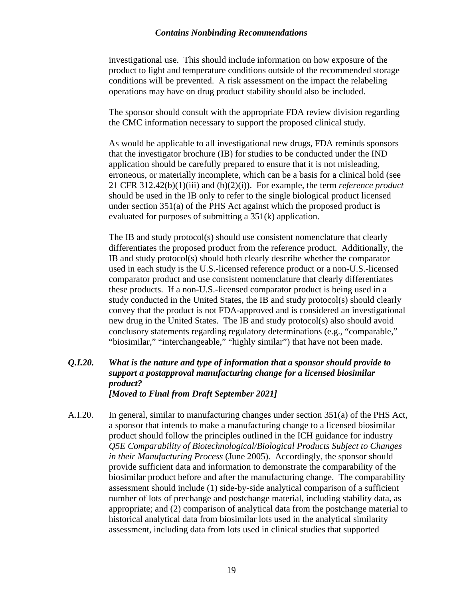investigational use. This should include information on how exposure of the product to light and temperature conditions outside of the recommended storage conditions will be prevented. A risk assessment on the impact the relabeling operations may have on drug product stability should also be included.

The sponsor should consult with the appropriate FDA review division regarding the CMC information necessary to support the proposed clinical study.

As would be applicable to all investigational new drugs, FDA reminds sponsors that the investigator brochure (IB) for studies to be conducted under the IND application should be carefully prepared to ensure that it is not misleading, erroneous, or materially incomplete, which can be a basis for a clinical hold (see 21 CFR 312.42(b)(1)(iii) and (b)(2)(i)). For example, the term *reference product* should be used in the IB only to refer to the single biological product licensed under section 351(a) of the PHS Act against which the proposed product is evaluated for purposes of submitting a 351(k) application.

The IB and study protocol(s) should use consistent nomenclature that clearly differentiates the proposed product from the reference product. Additionally, the IB and study protocol(s) should both clearly describe whether the comparator used in each study is the U.S.-licensed reference product or a non-U.S.-licensed comparator product and use consistent nomenclature that clearly differentiates these products. If a non-U.S.-licensed comparator product is being used in a study conducted in the United States, the IB and study protocol(s) should clearly convey that the product is not FDA-approved and is considered an investigational new drug in the United States. The IB and study protocol(s) also should avoid conclusory statements regarding regulatory determinations (e.g., "comparable," "biosimilar," "interchangeable," "highly similar") that have not been made.

- <span id="page-22-0"></span>*Q.I.20. What is the nature and type of information that a sponsor should provide to support a postapproval manufacturing change for a licensed biosimilar product? [Moved to Final from Draft September 2021]*
- A.I.20. In general, similar to manufacturing changes under section 351(a) of the PHS Act, a sponsor that intends to make a manufacturing change to a licensed biosimilar product should follow the principles outlined in the ICH guidance for industry *Q5E Comparability of Biotechnological/Biological Products Subject to Changes in their Manufacturing Process* (June 2005). Accordingly, the sponsor should provide sufficient data and information to demonstrate the comparability of the biosimilar product before and after the manufacturing change. The comparability assessment should include (1) side-by-side analytical comparison of a sufficient number of lots of prechange and postchange material, including stability data, as appropriate; and (2) comparison of analytical data from the postchange material to historical analytical data from biosimilar lots used in the analytical similarity assessment, including data from lots used in clinical studies that supported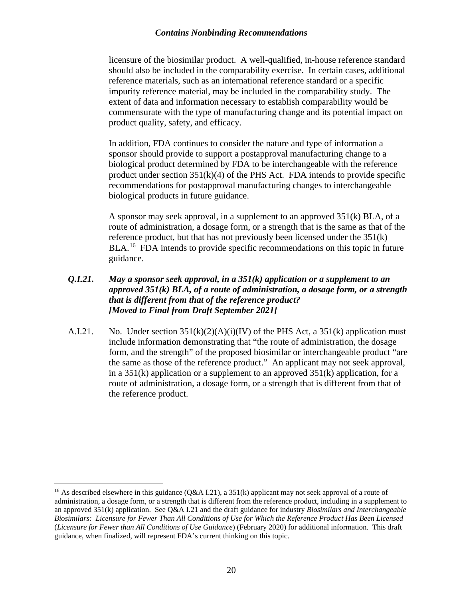licensure of the biosimilar product. A well-qualified, in-house reference standard should also be included in the comparability exercise. In certain cases, additional reference materials, such as an international reference standard or a specific impurity reference material, may be included in the comparability study. The extent of data and information necessary to establish comparability would be commensurate with the type of manufacturing change and its potential impact on product quality, safety, and efficacy.

In addition, FDA continues to consider the nature and type of information a sponsor should provide to support a postapproval manufacturing change to a biological product determined by FDA to be interchangeable with the reference product under section  $351(k)(4)$  of the PHS Act. FDA intends to provide specific recommendations for postapproval manufacturing changes to interchangeable biological products in future guidance.

A sponsor may seek approval, in a supplement to an approved 351(k) BLA, of a route of administration, a dosage form, or a strength that is the same as that of the reference product, but that has not previously been licensed under the 351(k) BLA.<sup>16</sup> FDA intends to provide specific recommendations on this topic in future guidance.

# <span id="page-23-0"></span>*Q.I.21. May a sponsor seek approval, in a 351(k) application or a supplement to an approved 351(k) BLA, of a route of administration, a dosage form, or a strength that is different from that of the reference product? [Moved to Final from Draft September 2021]*

A.I.21. No. Under section  $351(k)(2)(A)(i)(IV)$  of the PHS Act, a  $351(k)$  application must include information demonstrating that "the route of administration, the dosage form, and the strength" of the proposed biosimilar or interchangeable product "are the same as those of the reference product." An applicant may not seek approval, in a  $351(k)$  application or a supplement to an approved  $351(k)$  application, for a route of administration, a dosage form, or a strength that is different from that of the reference product.

<span id="page-23-1"></span><sup>&</sup>lt;sup>16</sup> As described elsewhere in this guidance (O&A I.21), a 351(k) applicant may not seek approval of a route of administration, a dosage form, or a strength that is different from the reference product, including in a supplement to an approved 351(k) application. See Q&A I.21 and the draft guidance for industry *Biosimilars and Interchangeable Biosimilars: Licensure for Fewer Than All Conditions of Use for Which the Reference Product Has Been Licensed* (*Licensure for Fewer than All Conditions of Use Guidance*) (February 2020) for additional information. This draft guidance, when finalized, will represent FDA's current thinking on this topic.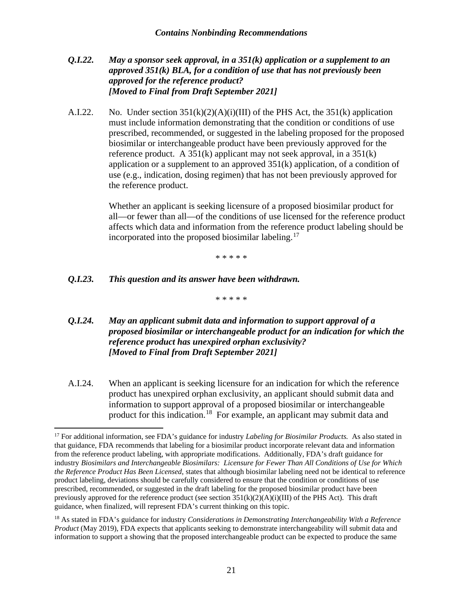# <span id="page-24-0"></span>*Q.I.22. May a sponsor seek approval, in a 351(k) application or a supplement to an approved 351(k) BLA, for a condition of use that has not previously been approved for the reference product? [Moved to Final from Draft September 2021]*

A.I.22. No. Under section 351(k)(2)(A)(i)(III) of the PHS Act, the 351(k) application must include information demonstrating that the condition or conditions of use prescribed, recommended, or suggested in the labeling proposed for the proposed biosimilar or interchangeable product have been previously approved for the reference product. A  $351(k)$  applicant may not seek approval, in a  $351(k)$ application or a supplement to an approved  $351(k)$  application, of a condition of use (e.g., indication, dosing regimen) that has not been previously approved for the reference product.

> Whether an applicant is seeking licensure of a proposed biosimilar product for all—or fewer than all—of the conditions of use licensed for the reference product affects which data and information from the reference product labeling should be incorporated into the proposed biosimilar labeling.[17](#page-24-2)

> > \* \* \* \* \*

# *Q.I.23. This question and its answer have been withdrawn.*

\* \* \* \* \*

- <span id="page-24-1"></span>*Q.I.24. May an applicant submit data and information to support approval of a proposed biosimilar or interchangeable product for an indication for which the reference product has unexpired orphan exclusivity? [Moved to Final from Draft September 2021]*
- A.I.24. When an applicant is seeking licensure for an indication for which the reference product has unexpired orphan exclusivity, an applicant should submit data and information to support approval of a proposed biosimilar or interchangeable product for this indication.<sup>18</sup> For example, an applicant may submit data and

<span id="page-24-2"></span><sup>&</sup>lt;sup>17</sup> For additional information, see FDA's guidance for industry *Labeling for Biosimilar Products*. As also stated in that guidance, FDA recommends that labeling for a biosimilar product incorporate relevant data and information from the reference product labeling, with appropriate modifications. Additionally, FDA's draft guidance for industry *Biosimilars and Interchangeable Biosimilars: Licensure for Fewer Than All Conditions of Use for Which the Reference Product Has Been Licensed*, states that although biosimilar labeling need not be identical to reference product labeling, deviations should be carefully considered to ensure that the condition or conditions of use prescribed, recommended, or suggested in the draft labeling for the proposed biosimilar product have been previously approved for the reference product (see section 351(k)(2)(A)(i)(III) of the PHS Act). This draft guidance, when finalized, will represent FDA's current thinking on this topic.

<span id="page-24-3"></span><sup>18</sup> As stated in FDA's guidance for industry *Considerations in Demonstrating Interchangeability With a Reference Product* (May 2019), FDA expects that applicants seeking to demonstrate interchangeability will submit data and information to support a showing that the proposed interchangeable product can be expected to produce the same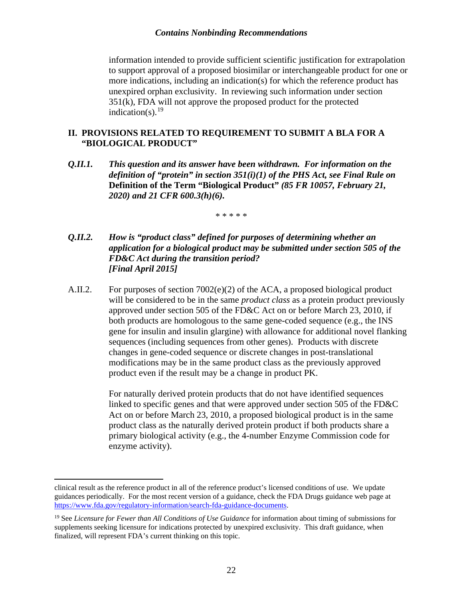information intended to provide sufficient scientific justification for extrapolation to support approval of a proposed biosimilar or interchangeable product for one or more indications, including an indication(s) for which the reference product has unexpired orphan exclusivity. In reviewing such information under section 351(k), FDA will not approve the proposed product for the protected indication(s). [19](#page-25-2)

# <span id="page-25-0"></span>**II. PROVISIONS RELATED TO REQUIREMENT TO SUBMIT A BLA FOR A "BIOLOGICAL PRODUCT"**

*Q.II.1. This question and its answer have been withdrawn. For information on the definition of "protein" in section 351(i)(1) of the PHS Act, see Final Rule on*  **Definition of the Term "Biological Product"** *(85 FR 10057, February 21, 2020) and 21 CFR 600.3(h)(6).*

\* \* \* \* \*

# <span id="page-25-1"></span>*Q.II.2. How is "product class" defined for purposes of determining whether an application for a biological product may be submitted under section 505 of the FD&C Act during the transition period? [Final April 2015]*

A.II.2. For purposes of section  $7002(e)(2)$  of the ACA, a proposed biological product will be considered to be in the same *product class* as a protein product previously approved under section 505 of the FD&C Act on or before March 23, 2010, if both products are homologous to the same gene-coded sequence (e.g., the INS gene for insulin and insulin glargine) with allowance for additional novel flanking sequences (including sequences from other genes). Products with discrete changes in gene-coded sequence or discrete changes in post-translational modifications may be in the same product class as the previously approved product even if the result may be a change in product PK.

> For naturally derived protein products that do not have identified sequences linked to specific genes and that were approved under section 505 of the FD&C Act on or before March 23, 2010, a proposed biological product is in the same product class as the naturally derived protein product if both products share a primary biological activity (e.g., the 4-number Enzyme Commission code for enzyme activity).

clinical result as the reference product in all of the reference product's licensed conditions of use. We update guidances periodically. For the most recent version of a guidance, check the FDA Drugs guidance web page at [https://www.fda.gov/regulatory-information/search-fda-guidance-documents.](https://www.fda.gov/regulatory-information/search-fda-guidance-documents)

<span id="page-25-2"></span><sup>&</sup>lt;sup>19</sup> See *Licensure for Fewer than All Conditions of Use Guidance* for information about timing of submissions for supplements seeking licensure for indications protected by unexpired exclusivity. This draft guidance, when finalized, will represent FDA's current thinking on this topic.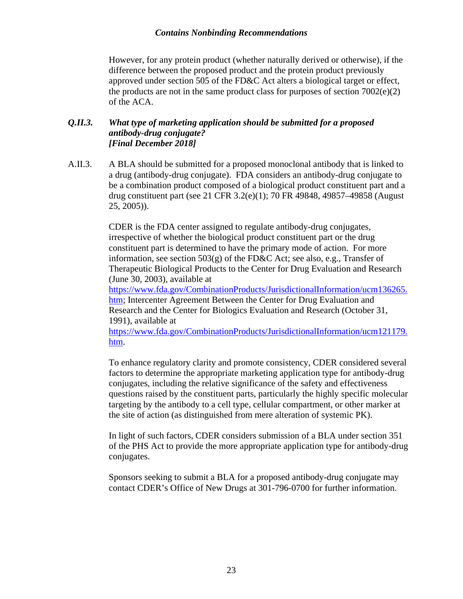However, for any protein product (whether naturally derived or otherwise), if the difference between the proposed product and the protein product previously approved under section 505 of the FD&C Act alters a biological target or effect, the products are not in the same product class for purposes of section  $7002(e)(2)$ of the ACA.

# <span id="page-26-0"></span>*Q.II.3. What type of marketing application should be submitted for a proposed antibody-drug conjugate? [Final December 2018]*

A.II.3. A BLA should be submitted for a proposed monoclonal antibody that is linked to a drug (antibody-drug conjugate). FDA considers an antibody-drug conjugate to be a combination product composed of a biological product constituent part and a drug constituent part (see 21 CFR 3.2(e)(1); 70 FR 49848, 49857–49858 (August 25, 2005)).

> CDER is the FDA center assigned to regulate antibody-drug conjugates, irrespective of whether the biological product constituent part or the drug constituent part is determined to have the primary mode of action. For more information, see section 503(g) of the FD&C Act; see also, e.g., Transfer of Therapeutic Biological Products to the Center for Drug Evaluation and Research (June 30, 2003), available at

[https://www.fda.gov/CombinationProducts/JurisdictionalInformation/ucm136265.](https://www.fda.gov/CombinationProducts/JurisdictionalInformation/ucm136265.htm) [htm;](https://www.fda.gov/CombinationProducts/JurisdictionalInformation/ucm136265.htm) Intercenter Agreement Between the Center for Drug Evaluation and Research and the Center for Biologics Evaluation and Research (October 31, 1991), available at

[https://www.fda.gov/CombinationProducts/JurisdictionalInformation/ucm121179.](https://www.fda.gov/CombinationProducts/JurisdictionalInformation/ucm121179.htm) [htm.](https://www.fda.gov/CombinationProducts/JurisdictionalInformation/ucm121179.htm)

To enhance regulatory clarity and promote consistency, CDER considered several factors to determine the appropriate marketing application type for antibody-drug conjugates, including the relative significance of the safety and effectiveness questions raised by the constituent parts, particularly the highly specific molecular targeting by the antibody to a cell type, cellular compartment, or other marker at the site of action (as distinguished from mere alteration of systemic PK).

In light of such factors, CDER considers submission of a BLA under section 351 of the PHS Act to provide the more appropriate application type for antibody-drug conjugates.

Sponsors seeking to submit a BLA for a proposed antibody-drug conjugate may contact CDER's Office of New Drugs at 301-796-0700 for further information.